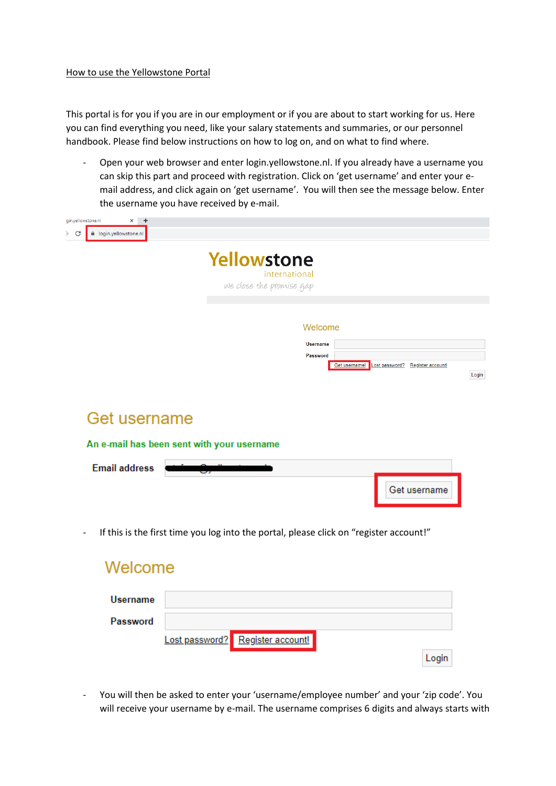# How to use the Yellowstone Portal

This portal is for you if you are in our employment or if you are about to start working for us. Here you can find everything you need, like your salary statements and summaries, or our personnel handbook. Please find below instructions on how to log on, and on what to find where.

- Open your web browser and enter login.yellowstone.nl. If you already have a username you can skip this part and proceed with registration. Click on 'get username' and enter your email address, and click again on 'get username'. You will then see the message below. Enter the username you have received by e-mail.

| gin.yellowstone.nl<br>$\times$ +<br>C<br>la login.yellowstone.nl |                                                                                             |       |
|------------------------------------------------------------------|---------------------------------------------------------------------------------------------|-------|
|                                                                  | Yellowstone<br>international<br>we close the promise gap                                    |       |
|                                                                  | Welcome<br><b>Username</b><br>Password<br>Get username!<br>Lost password? Register account! | Login |
| Get username                                                     | An e-mail has been sent with your username                                                  |       |
| <b>Email address</b>                                             | Get username                                                                                |       |
|                                                                  | If this is the first time you log into the portal, please click on "register account!"      |       |
| Welcome                                                          |                                                                                             |       |
| <b>Username</b><br>Password                                      |                                                                                             |       |

- You will then be asked to enter your 'username/employee number' and your 'zip code'. You will receive your username by e-mail. The username comprises 6 digits and always starts with

Login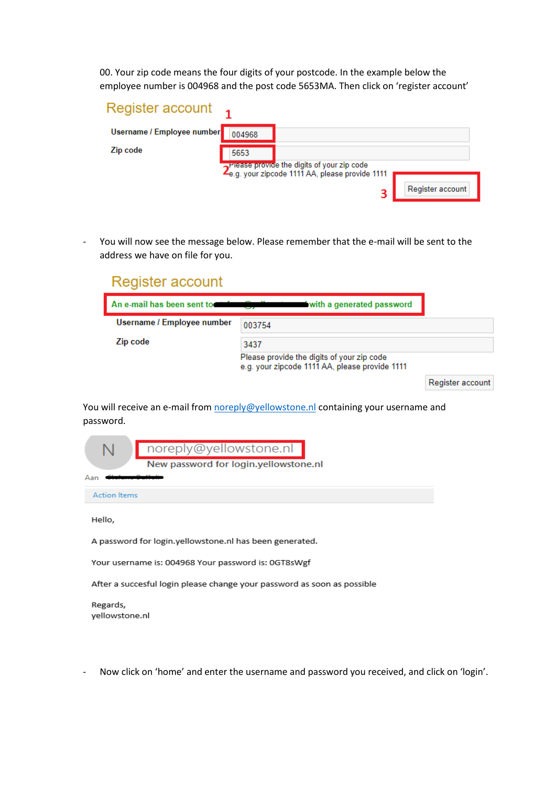00. Your zip code means the four digits of your postcode. In the example below the employee number is 004968 and the post code 5653MA. Then click on 'register account'

| Register account           |        |                                                                                                            |                  |
|----------------------------|--------|------------------------------------------------------------------------------------------------------------|------------------|
| Username / Employee number | 004968 |                                                                                                            |                  |
| Zip code                   | 5653   |                                                                                                            |                  |
|                            |        | 2 <sup>Prease</sup> provide the digits of your zip code<br>2e.g. your zipcode 1111 AA, please provide 1111 |                  |
|                            |        | 3                                                                                                          | Register account |

- You will now see the message below. Please remember that the e-mail will be sent to the address we have on file for you.

| Register account           |                                                                                              |                  |
|----------------------------|----------------------------------------------------------------------------------------------|------------------|
| An e-mail has been sent to | with a generated password                                                                    |                  |
| Username / Employee number | 003754                                                                                       |                  |
| Zip code                   | 3437                                                                                         |                  |
|                            | Please provide the digits of your zip code<br>e.g. your zipcode 1111 AA, please provide 1111 |                  |
|                            |                                                                                              | Register account |

You will receive an e-mail from [noreply@yellowstone.nl](mailto:noreply@yellowstone.nl) containing your username and password.

|                     | noreply@yellowstone.nl                                  |
|---------------------|---------------------------------------------------------|
|                     | New password for login.yellowstone.nl                   |
| Aar                 |                                                         |
| <b>Action Items</b> |                                                         |
| Hello,              |                                                         |
|                     | A password for login.yellowstone.nl has been generated. |
|                     | Your username is: 004968 Your password is: 0GT8sWgf     |
|                     |                                                         |

After a succesful login please change your password as soon as possible

Regards, yellowstone.nl

- Now click on 'home' and enter the username and password you received, and click on 'login'.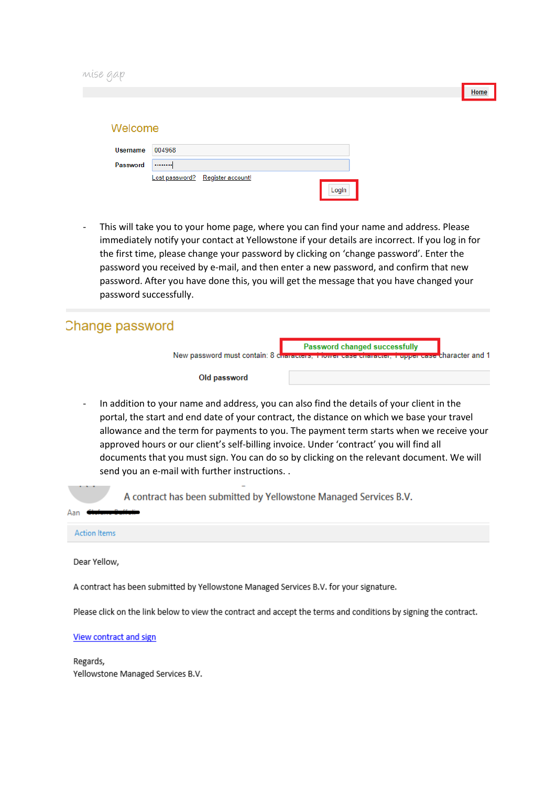| Welcome         |        |                                  |       |
|-----------------|--------|----------------------------------|-------|
| <b>Username</b> | 004968 |                                  |       |
| Password        |        |                                  |       |
|                 |        | Lost password? Register account! | Login |

This will take you to your home page, where you can find your name and address. Please immediately notify your contact at Yellowstone if your details are incorrect. If you log in for the first time, please change your password by clicking on 'change password'. Enter the password you received by e-mail, and then enter a new password, and confirm that new password. After you have done this, you will get the message that you have changed your password successfully.

| Change password                                                                                                                                                                         |                                                                                                                                                 |
|-----------------------------------------------------------------------------------------------------------------------------------------------------------------------------------------|-------------------------------------------------------------------------------------------------------------------------------------------------|
|                                                                                                                                                                                         | <b>Example 1 Password changed successfully</b><br>New password must contain: 8 characters, 1 lower case character, 1 upper case character and 1 |
| Old password                                                                                                                                                                            |                                                                                                                                                 |
| In addition to your name and address, you can also find the details of your client in the<br>portal, the start and end date of your contract, the distance on which we base your travel | من المنظم المواقع المن المناطق المناطق المستقلة المواقع المن المناطق المناطق المناطق المستقلة المستقلة المستقلة المستقلة                        |

allowance and the term for payments to you. The payment term starts when we receive your approved hours or our client's self-billing invoice. Under 'contract' you will find all documents that you must sign. You can do so by clicking on the relevant document. We will send you an e-mail with further instructions. .



**Action Items** 

 $\Delta$ an

Dear Yellow,

A contract has been submitted by Yellowstone Managed Services B.V. for your signature.

Please click on the link below to view the contract and accept the terms and conditions by signing the contract.

View contract and sign

Regards, Yellowstone Managed Services B.V. Home